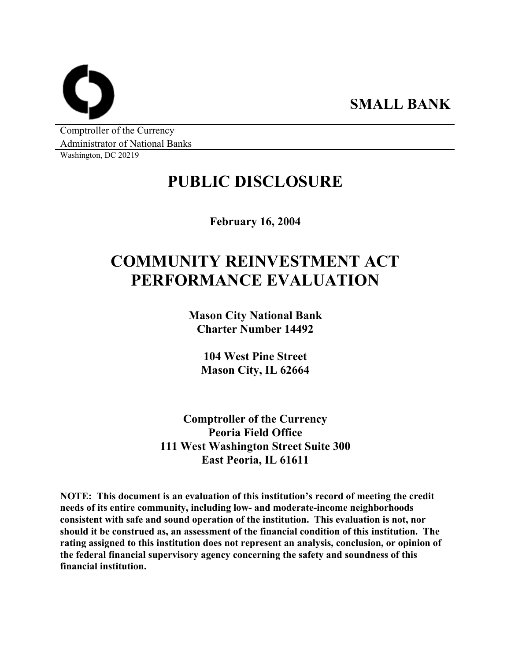**SMALL BANK** 

Comptroller of the Currency Administrator of National Banks

Washington, DC 20219

# **PUBLIC DISCLOSURE**

**February 16, 2004** 

# **COMMUNITY REINVESTMENT ACT PERFORMANCE EVALUATION**

**Mason City National Bank Charter Number 14492** 

**104 West Pine Street Mason City, IL 62664** 

**Comptroller of the Currency Peoria Field Office 111 West Washington Street Suite 300 East Peoria, IL 61611** 

**NOTE: This document is an evaluation of this institution's record of meeting the credit needs of its entire community, including low- and moderate-income neighborhoods consistent with safe and sound operation of the institution. This evaluation is not, nor should it be construed as, an assessment of the financial condition of this institution. The rating assigned to this institution does not represent an analysis, conclusion, or opinion of the federal financial supervisory agency concerning the safety and soundness of this financial institution.**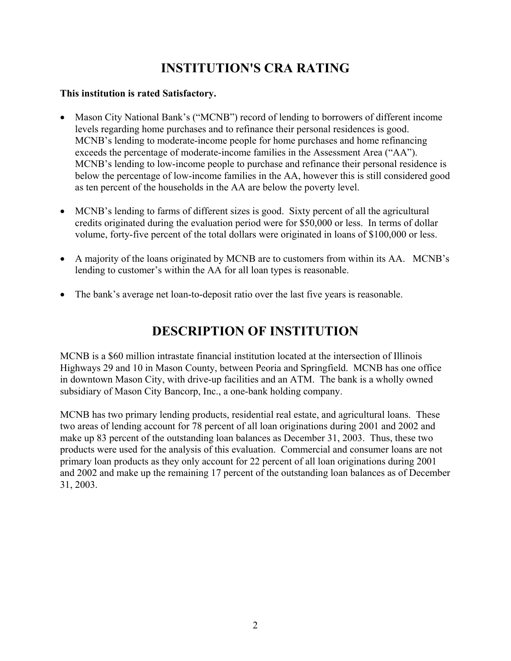# **INSTITUTION'S CRA RATING**

### **This institution is rated Satisfactory.**

- Mason City National Bank's ("MCNB") record of lending to borrowers of different income levels regarding home purchases and to refinance their personal residences is good. MCNB's lending to moderate-income people for home purchases and home refinancing exceeds the percentage of moderate-income families in the Assessment Area ("AA"). MCNB's lending to low-income people to purchase and refinance their personal residence is below the percentage of low-income families in the AA, however this is still considered good as ten percent of the households in the AA are below the poverty level.
- MCNB's lending to farms of different sizes is good. Sixty percent of all the agricultural credits originated during the evaluation period were for \$50,000 or less. In terms of dollar volume, forty-five percent of the total dollars were originated in loans of \$100,000 or less.
- A majority of the loans originated by MCNB are to customers from within its AA. MCNB's lending to customer's within the AA for all loan types is reasonable.
- The bank's average net loan-to-deposit ratio over the last five years is reasonable.

# **DESCRIPTION OF INSTITUTION**

MCNB is a \$60 million intrastate financial institution located at the intersection of Illinois Highways 29 and 10 in Mason County, between Peoria and Springfield. MCNB has one office in downtown Mason City, with drive-up facilities and an ATM. The bank is a wholly owned subsidiary of Mason City Bancorp, Inc., a one-bank holding company.

MCNB has two primary lending products, residential real estate, and agricultural loans. These two areas of lending account for 78 percent of all loan originations during 2001 and 2002 and make up 83 percent of the outstanding loan balances as December 31, 2003. Thus, these two products were used for the analysis of this evaluation. Commercial and consumer loans are not primary loan products as they only account for 22 percent of all loan originations during 2001 and 2002 and make up the remaining 17 percent of the outstanding loan balances as of December 31, 2003.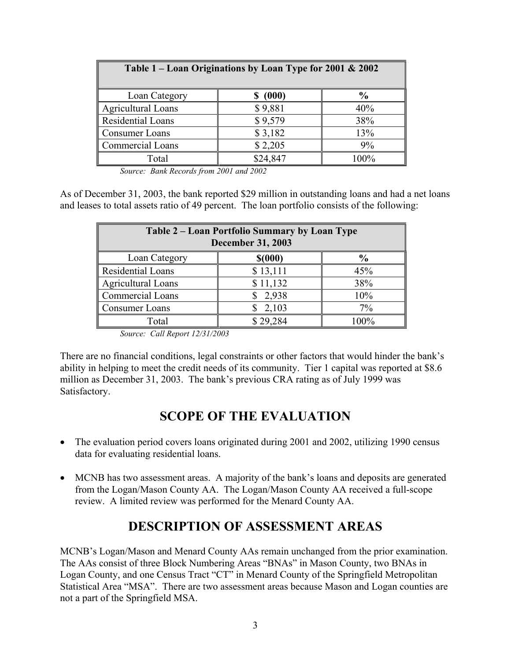| Table 1 – Loan Originations by Loan Type for 2001 & 2002 |          |               |  |  |  |  |  |
|----------------------------------------------------------|----------|---------------|--|--|--|--|--|
| Loan Category                                            | (000)    | $\frac{0}{0}$ |  |  |  |  |  |
| Agricultural Loans                                       | \$9,881  | 40%           |  |  |  |  |  |
| Residential Loans                                        | \$9,579  | 38%           |  |  |  |  |  |
| Consumer Loans                                           | \$3,182  | 13%           |  |  |  |  |  |
| <b>Commercial Loans</b>                                  | \$2,205  | 9%            |  |  |  |  |  |
| Total                                                    | \$24,847 | 100%          |  |  |  |  |  |

*Source: Bank Records from 2001 and 2002* 

As of December 31, 2003, the bank reported \$29 million in outstanding loans and had a net loans and leases to total assets ratio of 49 percent. The loan portfolio consists of the following:

| Table 2 – Loan Portfolio Summary by Loan Type<br><b>December 31, 2003</b> |          |               |  |  |  |  |  |
|---------------------------------------------------------------------------|----------|---------------|--|--|--|--|--|
| Loan Category                                                             | \$(000)  | $\frac{0}{0}$ |  |  |  |  |  |
| Residential Loans                                                         | \$13,111 | 45%           |  |  |  |  |  |
| <b>Agricultural Loans</b>                                                 | \$11,132 | 38%           |  |  |  |  |  |
| <b>Commercial Loans</b>                                                   | \$2,938  | 10%           |  |  |  |  |  |
| Consumer Loans                                                            | 2,103    | $7\%$         |  |  |  |  |  |
| Total                                                                     | \$29,284 | 100%          |  |  |  |  |  |

*Source: Call Report 12/31/2003* 

There are no financial conditions, legal constraints or other factors that would hinder the bank's ability in helping to meet the credit needs of its community. Tier 1 capital was reported at \$8.6 million as December 31, 2003. The bank's previous CRA rating as of July 1999 was Satisfactory.

## **SCOPE OF THE EVALUATION**

- The evaluation period covers loans originated during 2001 and 2002, utilizing 1990 census data for evaluating residential loans.
- MCNB has two assessment areas. A majority of the bank's loans and deposits are generated from the Logan/Mason County AA. The Logan/Mason County AA received a full-scope review. A limited review was performed for the Menard County AA.

### **DESCRIPTION OF ASSESSMENT AREAS**

MCNB's Logan/Mason and Menard County AAs remain unchanged from the prior examination. The AAs consist of three Block Numbering Areas "BNAs" in Mason County, two BNAs in Logan County, and one Census Tract "CT" in Menard County of the Springfield Metropolitan Statistical Area "MSA". There are two assessment areas because Mason and Logan counties are not a part of the Springfield MSA.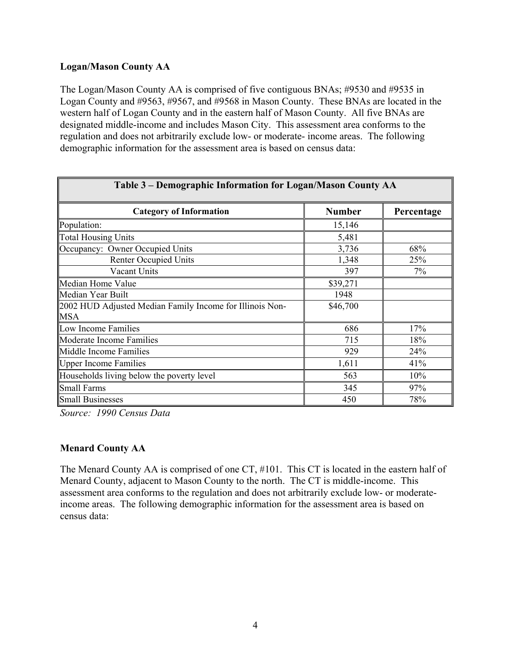### **Logan/Mason County AA**

The Logan/Mason County AA is comprised of five contiguous BNAs; #9530 and #9535 in Logan County and #9563, #9567, and #9568 in Mason County. These BNAs are located in the western half of Logan County and in the eastern half of Mason County. All five BNAs are designated middle-income and includes Mason City. This assessment area conforms to the regulation and does not arbitrarily exclude low- or moderate- income areas. The following demographic information for the assessment area is based on census data:

| Table 3 – Demographic Information for Logan/Mason County AA |               |            |  |  |  |  |  |
|-------------------------------------------------------------|---------------|------------|--|--|--|--|--|
| <b>Category of Information</b>                              | <b>Number</b> | Percentage |  |  |  |  |  |
| Population:                                                 | 15,146        |            |  |  |  |  |  |
| <b>Total Housing Units</b>                                  | 5,481         |            |  |  |  |  |  |
| Occupancy: Owner Occupied Units                             | 3,736         | 68%        |  |  |  |  |  |
| <b>Renter Occupied Units</b>                                | 1,348         | 25%        |  |  |  |  |  |
| Vacant Units                                                | 397           | 7%         |  |  |  |  |  |
| Median Home Value                                           | \$39,271      |            |  |  |  |  |  |
| Median Year Built                                           | 1948          |            |  |  |  |  |  |
| 2002 HUD Adjusted Median Family Income for Illinois Non-    | \$46,700      |            |  |  |  |  |  |
| <b>MSA</b>                                                  |               |            |  |  |  |  |  |
| Low Income Families                                         | 686           | 17%        |  |  |  |  |  |
| Moderate Income Families                                    | 715           | 18%        |  |  |  |  |  |
| Middle Income Families                                      | 929           | 24%        |  |  |  |  |  |
| <b>Upper Income Families</b>                                | 1,611         | 41%        |  |  |  |  |  |
| Households living below the poverty level                   | 563           | 10%        |  |  |  |  |  |
| <b>Small Farms</b>                                          | 345           | 97%        |  |  |  |  |  |
| <b>Small Businesses</b>                                     | 450           | 78%        |  |  |  |  |  |

*Source: 1990 Census Data*

### **Menard County AA**

The Menard County AA is comprised of one CT, #101. This CT is located in the eastern half of Menard County, adjacent to Mason County to the north. The CT is middle-income. This assessment area conforms to the regulation and does not arbitrarily exclude low- or moderateincome areas. The following demographic information for the assessment area is based on census data: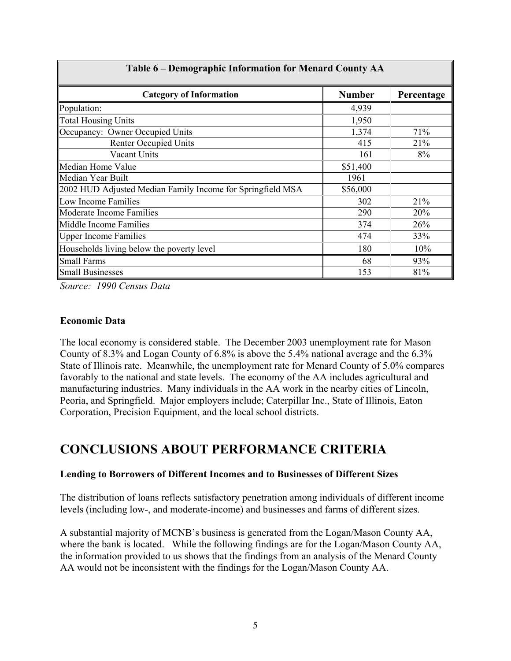| <u> 1 able 6 – Demographic Information for Menard County AA</u> |               |            |  |  |  |  |  |  |
|-----------------------------------------------------------------|---------------|------------|--|--|--|--|--|--|
| <b>Category of Information</b>                                  | <b>Number</b> | Percentage |  |  |  |  |  |  |
| Population:                                                     | 4,939         |            |  |  |  |  |  |  |
| <b>Total Housing Units</b>                                      | 1,950         |            |  |  |  |  |  |  |
| Occupancy: Owner Occupied Units                                 | 1,374         | 71%        |  |  |  |  |  |  |
| <b>Renter Occupied Units</b>                                    | 415           | 21%        |  |  |  |  |  |  |
| Vacant Units                                                    | 161           | 8%         |  |  |  |  |  |  |
| Median Home Value                                               | \$51,400      |            |  |  |  |  |  |  |
| Median Year Built                                               | 1961          |            |  |  |  |  |  |  |
| 2002 HUD Adjusted Median Family Income for Springfield MSA      | \$56,000      |            |  |  |  |  |  |  |
| Low Income Families                                             | 302           | 21%        |  |  |  |  |  |  |
| Moderate Income Families                                        | 290           | 20%        |  |  |  |  |  |  |
| Middle Income Families                                          | 374           | 26%        |  |  |  |  |  |  |
| <b>Upper Income Families</b>                                    | 474           | 33%        |  |  |  |  |  |  |
| Households living below the poverty level                       | 180           | 10%        |  |  |  |  |  |  |
| Small Farms                                                     | 68            | 93%        |  |  |  |  |  |  |
| <b>Small Businesses</b>                                         | 153           | 81%        |  |  |  |  |  |  |

**Table 6 – Demographic Information for Menard County AA** 

*Source: 1990 Census Data*

### **Economic Data**

Г

The local economy is considered stable. The December 2003 unemployment rate for Mason County of 8.3% and Logan County of 6.8% is above the 5.4% national average and the 6.3% State of Illinois rate. Meanwhile, the unemployment rate for Menard County of 5.0% compares favorably to the national and state levels. The economy of the AA includes agricultural and manufacturing industries. Many individuals in the AA work in the nearby cities of Lincoln, Peoria, and Springfield. Major employers include; Caterpillar Inc., State of Illinois, Eaton Corporation, Precision Equipment, and the local school districts.

### **CONCLUSIONS ABOUT PERFORMANCE CRITERIA**

### **Lending to Borrowers of Different Incomes and to Businesses of Different Sizes**

The distribution of loans reflects satisfactory penetration among individuals of different income levels (including low-, and moderate-income) and businesses and farms of different sizes.

A substantial majority of MCNB's business is generated from the Logan/Mason County AA, where the bank is located. While the following findings are for the Logan/Mason County AA, the information provided to us shows that the findings from an analysis of the Menard County AA would not be inconsistent with the findings for the Logan/Mason County AA.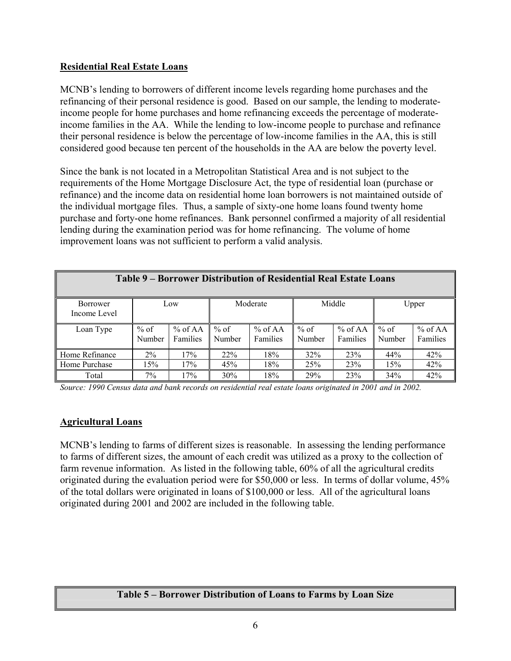### **Residential Real Estate Loans**

MCNB's lending to borrowers of different income levels regarding home purchases and the refinancing of their personal residence is good. Based on our sample, the lending to moderateincome people for home purchases and home refinancing exceeds the percentage of moderateincome families in the AA. While the lending to low-income people to purchase and refinance their personal residence is below the percentage of low-income families in the AA, this is still considered good because ten percent of the households in the AA are below the poverty level.

Since the bank is not located in a Metropolitan Statistical Area and is not subject to the requirements of the Home Mortgage Disclosure Act, the type of residential loan (purchase or refinance) and the income data on residential home loan borrowers is not maintained outside of the individual mortgage files. Thus, a sample of sixty-one home loans found twenty home purchase and forty-one home refinances. Bank personnel confirmed a majority of all residential lending during the examination period was for home refinancing. The volume of home improvement loans was not sufficient to perform a valid analysis.

| Table 9 – Borrower Distribution of Residential Real Estate Loans |                  |                              |                  |                     |                  |                       |                  |                       |
|------------------------------------------------------------------|------------------|------------------------------|------------------|---------------------|------------------|-----------------------|------------------|-----------------------|
| <b>Borrower</b><br>Income Level                                  |                  | Low                          | Moderate         |                     | Middle           |                       | Upper            |                       |
| Loan Type                                                        | $%$ of<br>Number | $%$ of AA<br><b>Families</b> | $%$ of<br>Number | % of AA<br>Families | $%$ of<br>Number | $%$ of AA<br>Families | $%$ of<br>Number | $%$ of AA<br>Families |
| Home Refinance                                                   | $2\%$            | 17%                          | 22%              | 18%                 | 32%              | 23%                   | 44%              | 42%                   |
| Home Purchase                                                    | 15%              | 17%                          | 45%              | 18%                 | 25%              | 23%                   | 15%              | 42%                   |
| Total                                                            | 7%               | 17%                          | 30%              | 18%                 | 29%              | 23%                   | 34%              | 42%                   |

*Source: 1990 Census data and bank records on residential real estate loans originated in 2001 and in 2002.*

### **Agricultural Loans**

MCNB's lending to farms of different sizes is reasonable. In assessing the lending performance to farms of different sizes, the amount of each credit was utilized as a proxy to the collection of farm revenue information. As listed in the following table, 60% of all the agricultural credits originated during the evaluation period were for \$50,000 or less. In terms of dollar volume, 45% of the total dollars were originated in loans of \$100,000 or less. All of the agricultural loans originated during 2001 and 2002 are included in the following table.

### **Table 5 – Borrower Distribution of Loans to Farms by Loan Size**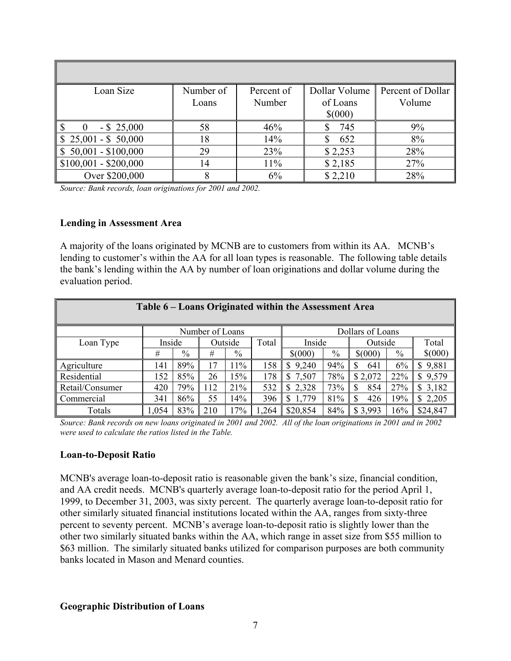| Loan Size                           | Number of | Percent of | Dollar Volume | Percent of Dollar |
|-------------------------------------|-----------|------------|---------------|-------------------|
|                                     | Loans     | Number     | of Loans      | Volume            |
|                                     |           |            | \$(000)       |                   |
| 18<br>$-$ \$ 25,000                 | 58        | 46%        | 745           | 9%                |
| $$25,001 - $50,000$                 | 18        | 14%        | 652           | 8%                |
| $\frac{1}{2}$ \$ 50,001 - \$100,000 | 29        | 23%        | \$2,253       | 28%               |
| $$100,001 - $200,000$               | 14        | 11%        | \$2,185       | 27%               |
| Over \$200,000                      | 8         | 6%         | \$2,210       | 28%               |

*Source: Bank records, loan originations for 2001 and 2002.*

### **Lending in Assessment Area**

A majority of the loans originated by MCNB are to customers from within its AA. MCNB's lending to customer's within the AA for all loan types is reasonable. The following table details the bank's lending within the AA by number of loan originations and dollar volume during the evaluation period.

| Table 6 – Loans Originated within the Assessment Area |                                     |      |     |                            |      |             |         |          |       |                         |
|-------------------------------------------------------|-------------------------------------|------|-----|----------------------------|------|-------------|---------|----------|-------|-------------------------|
|                                                       | Number of Loans<br>Dollars of Loans |      |     |                            |      |             |         |          |       |                         |
| Loan Type                                             | Inside                              |      |     | Total<br>Inside<br>Outside |      |             | Outside |          | Total |                         |
|                                                       | #                                   | $\%$ | #   | $\%$                       |      | $$^{(000)}$ | $\%$    | \$(000)  | $\%$  | \$(000)                 |
| Agriculture                                           | 141                                 | 89%  | 17  | 11%                        | 158  | \$<br>9,240 | 94%     | S<br>641 | 6%    | \$9,881                 |
| Residential                                           | 152                                 | 85%  | 26  | 15%                        | 178  | 7,507<br>S  | 78%     | \$2,072  | 22%   | 9,579<br>\$             |
| Retail/Consumer                                       | 420                                 | 79%  | 112 | 21%                        | 532  | 2,328<br>\$ | 73%     | 854<br>S | 27%   | 3,182<br>$\mathbb{S}^-$ |
| Commercial                                            | 341                                 | 86%  | 55  | 14%                        | 396  | 1,779<br>\$ | 81%     | 426<br>S | 19%   | \$2,205                 |
| Totals                                                | 1,054                               | 83%  | 210 | 17%                        | .264 | \$20,854    | 84%     | \$3,993  | 16%   | \$24,847                |

*Source: Bank records on new loans originated in 2001 and 2002. All of the loan originations in 2001 and in 2002 were used to calculate the ratios listed in the Table.*

#### **Loan-to-Deposit Ratio**

MCNB's average loan-to-deposit ratio is reasonable given the bank's size, financial condition, and AA credit needs. MCNB's quarterly average loan-to-deposit ratio for the period April 1, 1999, to December 31, 2003, was sixty percent. The quarterly average loan-to-deposit ratio for other similarly situated financial institutions located within the AA, ranges from sixty-three percent to seventy percent. MCNB's average loan-to-deposit ratio is slightly lower than the other two similarly situated banks within the AA, which range in asset size from \$55 million to \$63 million. The similarly situated banks utilized for comparison purposes are both community banks located in Mason and Menard counties.

#### **Geographic Distribution of Loans**